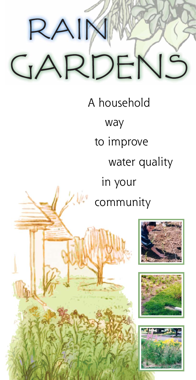# RAII ARDEN  $\overline{\phantom{a}}$

A household way to improve water quality in your community





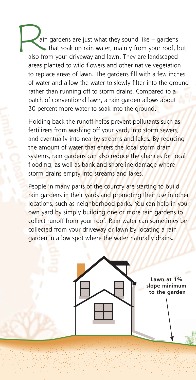ain gardens are just what they sound like – gardens that soak up rain water, mainly from your roof, but also from your driveway and lawn. They are landscaped areas planted to wild flowers and other native vegetation to replace areas of lawn. The gardens fill with a few inches of water and allow the water to slowly filter into the ground rather than running off to storm drains. Compared to a patch of conventional lawn, a rain garden allows about 30 percent more water to soak into the ground. ain

Holding back the runoff helps prevent pollutants such as fertilizers from washing off your yard, into storm sewers, and eventually into nearby streams and lakes. By reducing the amount of water that enters the local storm drain systems, rain gardens can also reduce the chances for local flooding, as well as bank and shoreline damage where storm drains empty into streams and lakes.

People in many parts of the country are starting to build rain gardens in their yards and promoting their use in other locations, such as neighborhood parks. You can help in your own yard by simply building one or more rain gardens to collect runoff from your roof. Rain water can sometimes be collected from your driveway or lawn by locating a rain garden in a low spot where the water naturally drains.

> **Lawn at 1% slope minimum to the garden**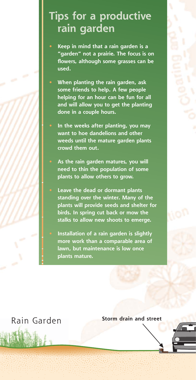### **Tips for a productive rain garden**

**• Keep in mind that a rain garden is a "garden" not a prairie. The focus is on flowers, although some grasses can be used.**

**• When planting the rain garden, ask some friends to help. A few people helping for an hour can be fun for all and will allow you to get the planting done in a couple hours.**

**• In the weeks after planting, you may want to hoe dandelions and other weeds until the mature garden plants crowd them out.** 

- **• As the rain garden matures, you will need to thin the population of some plants to allow others to grow.**
- **• Leave the dead or dormant plants standing over the winter. Many of the plants will provide seeds and shelter for birds. In spring cut back or mow the stalks to allow new shoots to emerge.**

**• Installation of a rain garden is slightly more work than a comparable area of lawn, but maintenance is low once plants mature.**

**Storm drain and street** Rain Garden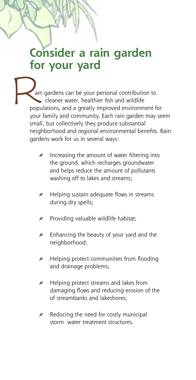## **Consider a rain garden for your yard**

ain gardens can be your personal contribution to cleaner water, healthier fish and wildlife populations, and a greatly improved environment for your family and community. Each rain garden may seem small, but collectively they produce substantial neighborhood and regional environmental benefits. Rain gardens work for us in several ways: Fol<br>
Pain<br>
popu<br>
your<br>
small<br>
neigh

- g Increasing the amount of water filtering into the ground, which recharges groundwater and helps reduce the amount of pollutants washing off to lakes and streams;
- g Helping sustain adequate flows in streams during dry spells;
- gProviding valuable wildlife habitat;
- g Enhancing the beauty of your yard and the neighborhood;
- g Helping protect communities from flooding and drainage problems;
- g Helping protect streams and lakes from damaging flows and reducing erosion of the of streambanks and lakeshores;
- g Reducing the need for costly municipal storm water treatment structures.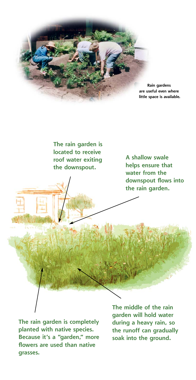

**The rain garden is located to receive roof water exiting the downspout.**

**A shallow swale helps ensure that water from the downspout flows into the rain garden.**

**The rain garden is completely planted with native species. Because it's a "garden," more flowers are used than native grasses.**

**The middle of the rain garden will hold water during a heavy rain, so the runoff can gradually soak into the ground.**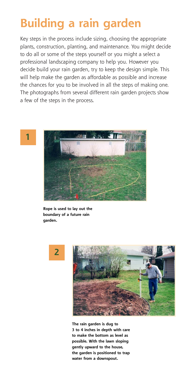# **Building a rain garden**

Key steps in the process include sizing, choosing the appropriate plants, construction, planting, and maintenance. You might decide to do all or some of the steps yourself or you might a select a professional landscaping company to help you. However you decide build your rain garden, try to keep the design simple. This will help make the garden as affordable as possible and increase the chances for you to be involved in all the steps of making one. The photographs from several different rain garden projects show a few of the steps in the process.



**Rope is used to lay out the boundary of a future rain garden.** 





**The rain garden is dug to 3 to 4 inches in depth with care to make the bottom as level as possible. With the lawn sloping gently upward to the house, the garden is positioned to trap water from a downspout.**

**1**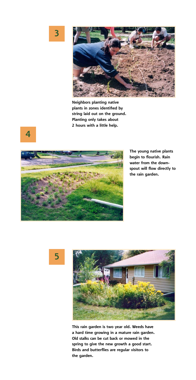**3**



**Neighbors planting native plants in zones identified by string laid out on the ground. Planting only takes about 2 hours with a little help.**



**The young native plants begin to flourish. Rain water from the downspout will flow directly to the rain garden.**





**This rain garden is two year old. Weeds have a hard time growing in a mature rain garden. Old stalks can be cut back or mowed in the spring to give the new growth a good start. Birds and butterflies are regular visitors to the garden.**

**4**